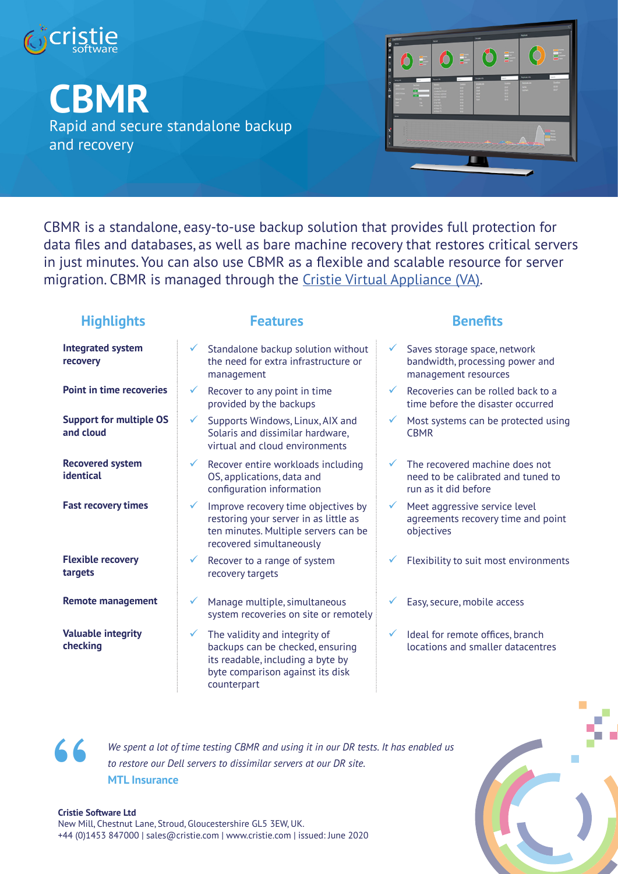

**CBMR**

Rapid and secure standalone backup and recovery



CBMR is a standalone, easy-to-use backup solution that provides full protection for data files and databases, as well as bare machine recovery that restores critical servers in just minutes. You can also use CBMR as a flexible and scalable resource for server migration. CBMR is managed through the Cristie Virtual Appliance (VA).

# **Highlights Features Benefits**

| <b>Integrated system</b><br>recovery        | Standalone backup solution without<br>Saves storage space, network<br>the need for extra infrastructure or<br>bandwidth, processing power and<br>management resources<br>management                                                                   |
|---------------------------------------------|-------------------------------------------------------------------------------------------------------------------------------------------------------------------------------------------------------------------------------------------------------|
| <b>Point in time recoveries</b>             | Recoveries can be rolled back to a<br>Recover to any point in time<br>$\checkmark$<br>$\checkmark$<br>provided by the backups<br>time before the disaster occurred                                                                                    |
| <b>Support for multiple OS</b><br>and cloud | Supports Windows, Linux, AIX and<br>$\checkmark$<br>Most systems can be protected using<br>$\checkmark$<br>Solaris and dissimilar hardware,<br><b>CBMR</b><br>virtual and cloud environments                                                          |
| <b>Recovered system</b><br>identical        | The recovered machine does not<br>Recover entire workloads including<br>$\checkmark$<br>OS, applications, data and<br>need to be calibrated and tuned to<br>configuration information<br>run as it did before                                         |
| <b>Fast recovery times</b>                  | Improve recovery time objectives by<br>Meet aggressive service level<br>$\checkmark$<br>restoring your server in as little as<br>agreements recovery time and point<br>ten minutes. Multiple servers can be<br>objectives<br>recovered simultaneously |
| <b>Flexible recovery</b><br>targets         | Flexibility to suit most environments<br>Recover to a range of system<br>recovery targets                                                                                                                                                             |
| <b>Remote management</b>                    | Manage multiple, simultaneous<br>Easy, secure, mobile access<br>system recoveries on site or remotely                                                                                                                                                 |
| <b>Valuable integrity</b><br>checking       | The validity and integrity of<br>Ideal for remote offices, branch<br>✓<br>backups can be checked, ensuring<br>locations and smaller datacentres<br>its readable, including a byte by<br>byte comparison against its disk<br>counterpart               |



*We spent a lot of time testing CBMR and using it in our DR tests. It has enabled us to restore our Dell servers to dissimilar servers at our DR site.* **MTL Insurance**